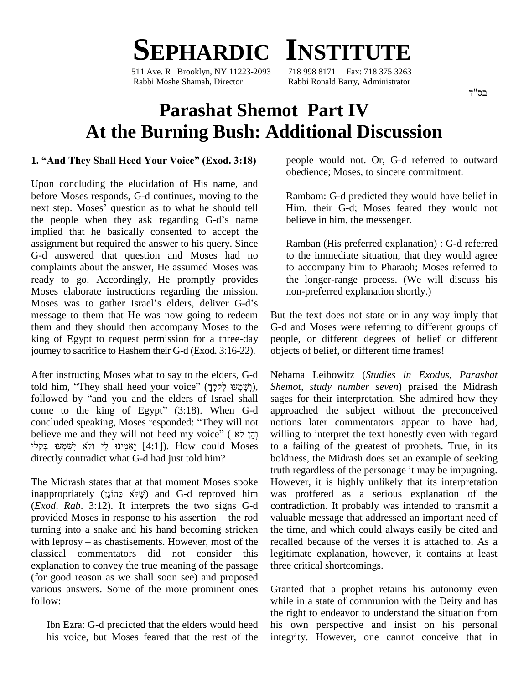

511 Ave. R Brooklyn, NY 11223-2093 Rabbi Moshe Shamah, Director Rabbi Ronald Barry, Administrator

## **Parashat Shemot Part IV At the Burning Bush: Additional Discussion**

#### **1. ìAnd They Shall Heed Your Voiceî (Exod. 3:18)**

Upon concluding the elucidation of His name, and before Moses responds, G-d continues, moving to the Upon concluding the elucidation of His name, and<br>before Moses responds, G-d continues, moving to the<br>next step. Moses' question as to what he should tell next step. Moses' question as to what he should tell<br>the people when they ask regarding G-d's name implied that he basically consented to accept the assignment but required the answer to his query. Since G-d answered that question and Moses had no complaints about the answer, He assumed Moses was ready to go. Accordingly, He promptly provides Moses elaborate instructions regarding the mission. Moses was to gather Israel's elders, deliver G-d's message to them that He was now going to redeem them and they should then accompany Moses to the king of Egypt to request permission for a three-day journey to sacrifice to Hashem their G-d (Exod. 3:16-22).

After instructing Moses what to say to the elders, G-d told him, "They shall heed your voice" (אֲלֶךָ), Safter instructing Moses what to say to the elders, G-d<br>told him, "They shall heed your voice" (יָשָׁמְעוּ לְקִלֶךָ), fter instructing Moses what to say to the elders, G-d Nudd him, "They shall heed your voice" (לְשָׁמְעוּ לְקלֶךָ), Sk followed by "and you and the elders of Israel shall sa told him, "They shall heed your voice" (לְשָׁמְעוּ לְקלֶךָ), *Sheme*<br>followed by "and you and the elders of Israel shall sages<br>come to the king of Egypt" (3:18). When G-d approa followed by "and you and the elders of Israel shall sa<br>come to the king of Egypt" (3:18). When G-d ap<br>concluded speaking, Moses responded: "They will not no come to the king of Egypt" (3:18). When G-d ap<br>concluded speaking, Moses responded: "They will not not<br>believe me and they will not heed my voice" ( לֹא יְהֵן לֹא concluded speaking, Moses responded: "They will not believe me and they will not heed my voice" ( לֹא יִשְׁמִינוּ בִּקְלִי (אֹ יִשְׁמִינוּ לִי וֹלֹא יִשְׁמִינוּ בִּ directly contradict what G-d had just told him?

The Midrash states that at that moment Moses spoke fruth regard<br>The Midrash states that at that moment Moses spoke However, inappropriately (שֶׁלֹא כַּהוֹגֶן) and G-d reproved him was proff (*Exod*. *Rab*. 3:12). It interprets the two signs G-d inappropriately (שֶׁלֹא כַּהוֹגֶן) and G-d reproved him was (*Exod. Rab.* 3:12). It interprets the two signs G-d contra provided Moses in response to his assertion – the rod valuat turning into a snake and his hand becoming stricken provided Moses in response to his assertion  $-$  the rod turning into a snake and his hand becoming stricken with leprosy  $-$  as chastisements. However, most of the classical commentators did not consider this explanation to convey the true meaning of the passage (for good reason as we shall soon see) and proposed various answers. Some of the more prominent ones follow:

Ibn Ezra: G-d predicted that the elders would heed his voice, but Moses feared that the rest of the people would not. Or, G-d referred to outward obedience; Moses, to sincere commitment.

Rambam: G-d predicted they would have belief in Him, their G-d; Moses feared they would not believe in him, the messenger.

Ramban (His preferred explanation) : G-d referred to the immediate situation, that they would agree to accompany him to Pharaoh; Moses referred to the longer-range process. (We will discuss his non-preferred explanation shortly.)

But the text does not state or in any way imply that G-d and Moses were referring to different groups of people, or different degrees of belief or different objects of belief, or different time frames!

Nehama Leibowitz (*Studies in Exodus, Parashat Shemot, study number seven*) praised the Midrash sages for their interpretation. She admired how they approached the subject without the preconceived notions later commentators appear to have had, willing to interpret the text honestly even with regard to a failing of the greatest of prophets. True, in its boldness, the Midrash does set an example of seeking truth regardless of the personage it may be impugning. However, it is highly unlikely that its interpretation was proffered as a serious explanation of the contradiction. It probably was intended to transmit a valuable message that addressed an important need of the time, and which could always easily be cited and recalled because of the verses it is attached to. As a legitimate explanation, however, it contains at least three critical shortcomings.

Granted that a prophet retains his autonomy even while in a state of communion with the Deity and has the right to endeavor to understand the situation from his own perspective and insist on his personal integrity. However, one cannot conceive that in

רח"ד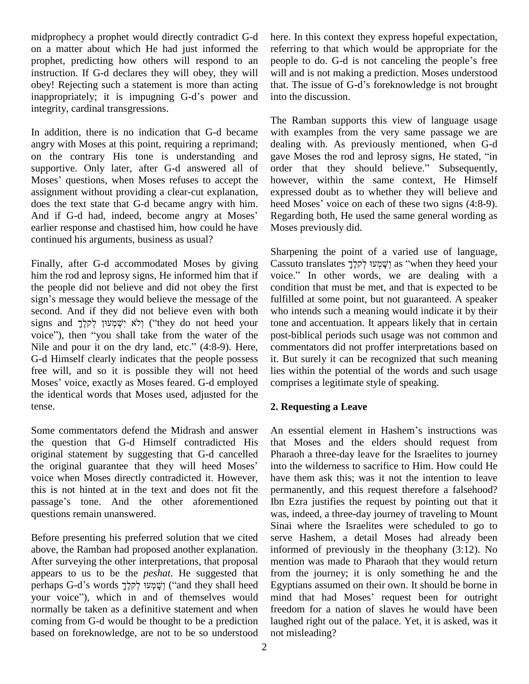midprophecy a prophet would directly contradict G-d on a matter about which He had just informed the prophet, predicting how others will respond to an people to do. G-d is not canceling the people's free instruction. If G-d declares they will obey, they will obey! Rejecting such a statement is more than acting instruction. If G-d declares they will obey, they will will as obey! Rejecting such a statement is more than acting that. The impugning G-d's power and into the integrity, cardinal transgressions.

In addition, there is no indication that G-d became angry with Moses at this point, requiring a reprimand; on the contrary His tone is understanding and gave I<br>supportive. Only later, after G-d answered all of order<br>Moses' questions, when Moses refuses to accept the howev supportive. Only later, after G-d answered all of assignment without providing a clear-cut explanation, explanation, explanation, explanation, here does the text state that G-d became angry with him. here And if G-d had, indeed, become angry at Moses' Reg does the text state that G-d became angry with him. heed Moses' voice on each of these two signs (4:8-9). earlier response and chastised him, how could he have continued his arguments, business as usual?

Finally, after G-d accommodated Moses by giving him the rod and leprosy signs, He informed him that if voice." In other words, we are dealing with a the people did not believe and did not obey the first sign's message they would believe the message of the second. And if they did not believe even with both sign's message they would believe the message of the full second. And if they did not believe even with both wh<br>signs and לְאֹ יִשְׁמְעוּוּן לְקִלֶךְ (iithey do not heed your ton voice in the interval take from the whole signs and  $\frac{1}{2}$ ולא יִשְׁמְעוּן לְקלֶךְ ("they do not heed your tone voice"), then "you shall take from the water of the postsigns and יְלֹא יִשְׁמְעוּן לְקלֶךְ ("they do not heed your to voice"), then "you shall take from the water of the po<br>Nile and pour it on the dry land, etc." (4:8-9). Here, co G-d Himself clearly indicates that the people possess it. But<br>free will, and so it is possible they will not heed lies w<br>Moses' voice, exactly as Moses feared. G-d employed compr free will, and so it is possible they will not heed the identical words that Moses used, adjusted for the tense.

Some commentators defend the Midrash and answer the question that G-d Himself contradicted His that<br>original statement by suggesting that G-d cancelled Phar<br>the original guarantee that they will heed Moses' into original statement by suggesting that G-d cancelled Pharacthe original guarantee that they will heed Moses' into the voice when Moses directly contradicted it. However, have t this is not hinted at in the text and does not fit the voice when Moses directly contradicted it. However, this is not hinted at in the text and does not fit the passage's tone. And the other aforementioned questions remain unanswered.

Before presenting his preferred solution that we cited above, the Ramban had proposed another explanation. After surveying the other interpretations, that proposal mentions appears to us to be the *peshat*. He suggested that from perhaps G-d's words  $\frac{1}{2}$ קָּשָׁמְעוּ קָ<sup>ל</sup>קָלֶךָ appears to us to be the *peshat*. He suggested that perhaps G-d's words וְשָׁמְעוּ לְקלֶךְ ("and they shall heed your voice"), which in and of themselves would normally be taken as a definitive statement and when coming from G-d would be thought to be a prediction based on foreknowledge, are not to be so understood

here. In this context they express hopeful expectation, referring to that which would be appropriate for the here. In this context they express hopeful expectation,<br>referring to that which would be appropriate for the<br>people to do. G-d is not canceling the people's free will and is not making a prediction. Moses understood that. The issue of G-d's foreknowledge is not brought into the discussion.

The Ramban supports this view of language usage with examples from the very same passage we are<br>dealing with. As previously mentioned, when G-d<br>gave Moses the rod and leprosy signs, He stated, "in dealing with. As previously mentioned, when G-d gave Moses the rod and leprosy signs, He stated, "in order that they should believe." Subsequently, however, within the same context, He Himself expressed doubt as to whether they will believe and however, within the same context, He Himself expressed doubt as to whether they will believe and heed Moses' voice on each of these two signs (4:8-9). Regarding both, He used the same general wording as Moses previously did.

Sharpening the point of a varied use of language, Sharpening the point of a varied use of language,<br>Cassuto translates יָשָׁמְּעוּ לְקלוֹךָ as "when they heed your Sharpening the point of a varied use of language,<br>Cassuto translates וְשָׁמְעוּ לְקלֶךָ as "when they heed your<br>voice." In other words, we are dealing with a condition that must be met, and that is expected to be fulfilled at some point, but not guaranteed. A speaker who intends such a meaning would indicate it by their tone and accentuation. It appears likely that in certain post-biblical periods such usage was not common and commentators did not proffer interpretations based on it. But surely it can be recognized that such meaning lies within the potential of the words and such usage comprises a legitimate style of speaking.

### **2. Requesting a Leave**

An essential element in Hashem's instructions was that Moses and the elders should request from Pharaoh a three-day leave for the Israelites to journey into the wilderness to sacrifice to Him. How could He have them ask this; was it not the intention to leave permanently, and this request therefore a falsehood? Ibn Ezra justifies the request by pointing out that it was, indeed, a three-day journey of traveling to Mount Sinai where the Israelites were scheduled to go to serve Hashem, a detail Moses had already been informed of previously in the theophany (3:12). No mention was made to Pharaoh that they would return from the journey; it is only something he and the Egyptians assumed on their own. It should be borne in mind that had Moses' request been for outright freedom for a nation of slaves he would have been laughed right out of the palace. Yet, it is asked, was it not misleading?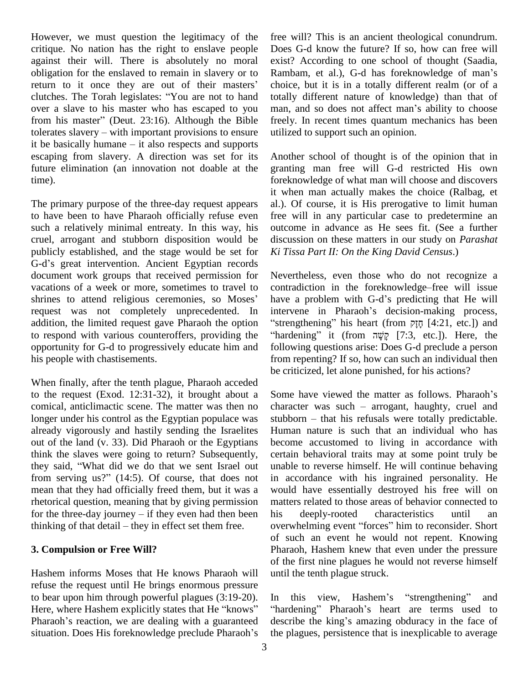However, we must question the legitimacy of the critique. No nation has the right to enslave people against their will. There is absolutely no moral obligation for the enslaved to remain in slavery or to Rambam, et al.), G-d has foreknowledge of man's against their will. There is absolutely no moral exibilization for the enslaved to remain in slavery or to Ran<br>return to it once they are out of their masters' cho obligation for the enslaved to remain in slavery or to Rambs<br>return to it once they are out of their masters' choice<br>clutches. The Torah legislates: "You are not to hand totally over a slave to his master who has escaped to you man, and so does not affect man's ability to choose clutches. The Torah legislates: "You are not to hand over a slave to his master who has escaped to you man,<br>from his master" (Deut. 23:16). Although the Bible freely<br>tolerates slavery – with important provisions to ensure utiliz from his master" (Deut. 23:16). Although the Bible freel tolerates slavery – with important provisions to ensure utili<br>it be basically humane – it also respects and supports escaping from slavery. A direction was set for its future elimination (an innovation not doable at the time).

The primary purpose of the three-day request appears to have been to have Pharaoh officially refuse even such a relatively minimal entreaty. In this way, his cruel, arrogant and stubborn disposition would be discupublicly established, and the stage would be set for Ki Ti G-d's great intervention. Ancient Egyptian records publicly established, and the stage would be set for document work groups that received permission for vacations of a week or more, sometimes to travel to shrines to attend religious ceremonies, so Moses' request was not completely unprecedented. In addition, the limited request gave Pharaoh the option to respond with various counteroffers, providing the "hardening" it (from  $\frac{1}{2}$  [7:3, etc.]). Here, the opportunity for G-d to progressively educate him and his people with chastisements.

When finally, after the tenth plague, Pharaoh acceded to the request (Exod. 12:31-32), it brought about a comical, anticlimactic scene. The matter was then no longer under his control as the Egyptian populace was stubborn – that his refusals were totally predictable. already vigorously and hastily sending the Israelites out of the land (v. 33). Did Pharaoh or the Egyptians become think the slaves were going to return? Subsequently, certainly said, "What did we do that we sent Israel out unable think the slaves were going to return? Subsequently, they said, "What did we do that we sent Israel out from serving us?" (14:5). Of course, that does not mean that they had officially freed them, but it was a rhetorical question, meaning that by giving permission mean that they had officially freed them, but it was a would<br>rhetorical question, meaning that by giving permission matter<br>for the three-day journey – if they even had then been his rhetorical question, meaning that by giving permission manner for the three-day journey – if they even had then been his thinking of that detail – they in effect set them free.

#### **3. Compulsion or Free Will?**

Hashem informs Moses that He knows Pharaoh will refuse the request until He brings enormous pressure to bear upon him through powerful plagues (3:19-20). refuse the request until He brings enormous pressure<br>to bear upon him through powerful plagues (3:19-20). In<br>Here, where Hashem explicitly states that He "knows" "hard to bear upon him through powerful plagues (3:19-20). In there, where Hashem explicitly states that He "knows" "harder Pharaoh's reaction, we are dealing with a guaranteed described Here, where Hashem explicitly states that He "knows" Pharaoh's reaction, we are dealing with a guaranteed situation. Does His foreknowledge preclude Pharaoh's

free will? This is an ancient theological conundrum. Does G-d know the future? If so, how can free will Rambam, et al.), G-d has foreknowledge of maní<sup>s</sup> exist? According to one school of thought (Saadia, choice, but it is in a totally different realm (or of a totally different nature of knowledge) than that of choice, but it is in a totally different realm (or of a<br>totally different nature of knowledge) than that of<br>man, and so does not affect man's ability to choose freely. In recent times quantum mechanics has been utilized to support such an opinion.

Another school of thought is of the opinion that in granting man free will G-d restricted His own foreknowledge of what man will choose and discovers it when man actually makes the choice (Ralbag, et al.). Of course, it is His prerogative to limit human free will in any particular case to predetermine an outcome in advance as He sees fit. (See a further discussion on these matters in our study on *Parashat Ki Tissa Part II: On the King David Census*.)

Nevertheless, even those who do not recognize a contradiction in the foreknowledge–free will issue Nevertheless, even those who do not recognize a<br>contradiction in the foreknowledge–free will issue<br>have a problem with G-d's predicting that He will contradiction in the foreknowledge–free will issue<br>have a problem with G-d's predicting that He will<br>intervene in Pharaoh's decision-making process, ave a problem with G-d's predicting that He will<br>intervene in Pharaoh's decision-making process,<br>strengthening" his heart (from  $\overline{p}$ [ $\overline{q}$ ] [4:21, etc.]) and intervene in Pharaoh's decision-making process, firengthening" his heart (from  $\overline{p}$  [4:21, etc.]) and following questions arise: Does G-d preclude a person from repenting? If so, how cansuch an individual then be criticized, let alone punished, for his actions?

Some have viewed the matter as follows. Pharaoh's Some have viewed the matter as follows. Pharaoh's<br>character was such – arrogant, haughty, cruel and Some have viewed the matter as follows. Pharaoh's character was such  $-$  arrogant, haughty, cruel and stubborn  $-$  that his refusals were totally predictable. Human nature is such that an individual who has become accustomed to living in accordance with certain behavioral traits may at some point truly be unable to reverse himself. He will continue behaving in accordance with his ingrained personality. He would have essentially destroyed his free will on matters related to those areas of behavior connected to<br>his deeply-rooted characteristics until an<br>overwhelming event "forces" him to reconsider. Short his deeply-rooted characteristics until an of such an event he would not repent. Knowing Pharaoh, Hashem knew that even under the pressure of the first nine plagues he would not reverse himself until the tenth plague struck.

In this view, Hashem's "strengthening" and "hardening" Pharaoh's heart are terms used to describe the king's amazing obduracy in the face of the plagues, persistence that is inexplicable to average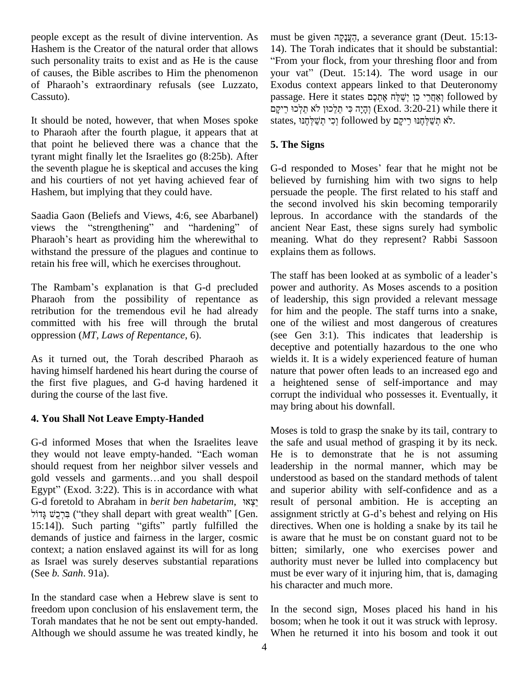people except as the result of divine intervention. As Hashem is the Creator of the natural order that allows such personality traits to exist and as He is the cause of causes, the Bible ascribes to Him the phenomenon of Pharaoh's extraordinary refusals (see Luzzato, Cassuto).

It should be noted, however, that when Moses spoke to Pharaoh after the fourth plague, it appears that at that point he believed there was a chance that the tyrant might finally let the Israelites go (8:25b). After the seventh plague he is skeptical and accuses the king and his courtiers of not yet having achieved fear of Hashem, but implying that they could have.

Saadia Gaon (Beliefs and Views, 4:6, see Abarbanel) the<br>Saadia Gaon (Beliefs and Views, 4:6, see Abarbanel) lep<br>views the "strengthening" and "hardening" of anc Saadia Gaon (Beliefs and Views, 4:6, see Abarbanel) leprouviews the "strengthening" and "hardening" of ancien<br>Pharaoh's heart as providing him the wherewithal to meani withstand the pressure of the plagues and continue to retain his free will, which he exercises throughout.

The Rambam's explanation is that G-d precluded Pharaoh from the possibility of repentance as retribution for the tremendous evil he had already committed with his free will through the brutal oppression (*MT, Laws of Repentance*, 6).

As it turned out, the Torah described Pharaoh as having himself hardened his heart during the course of the first five plagues, and G-d having hardened it during the course of the last five.

### **4. You Shall Not Leave Empty-Handed**

G-d informed Moses that when the Israelites leave they would not leave empty-handed. "Each woman should request from her neighbor silver vessels and they would not leave empty-handed. "Each woman He<br>should request from her neighbor silver vessels and lea<br>gold vessels and garments...and you shall despoil un should request from her neighbor silver vessels and leased vessels and garments...and you shall despoil ur Egypt" (Exod. 3:22). This is in accordance with what an Gold vessels and garments...and you shall despoil Egypt" (Exod. 3:22). This is in accordance with what G-d foretold to Abraham in *berit ben habetarim*, ¥¥ Egypt" (Exod. 3:22). This is in accordance with what and superior ability with self-confidence and as a G-d foretold to Abraham in *berit ben habetarim*,  $NX^2$  result of personal ambition. He is accepting an "they shall 15:14]). Such parting "gifts" partly fulfilled the demands of justice and fairness in the larger, cosmic context; a nation enslaved against its will for as long as Israel was surely deserves substantial reparations (See *b. Sanh*. 91a).

In the standard case when a Hebrew slave is sent to freedom upon conclusion of his enslavement term, the Torah mandates that he not be sent out empty-handed. Although we should assume he was treated kindly, he must be given הַעֲנַקֵה, a severance grant (Deut. 15:13-14). The Torah indicates that it should be substantial: From your flock, from your threshing floor and from 14). The Torah indicates that it should be substantial:<br>"From your flock, from your threshing floor and from<br>your vat" (Deut. 15:14). The word usage in our Exodus context appears linked to that Deuteronomy your vat" (Deut. 15:14). The word usage in our<br>Exodus context appears linked to that Deuteronomy<br>passage. Here it states אֲחֲכָר כֵן יְשַׁלַּח אֶחֶכֶם lus context appears linked to that Deuteronomy<br>nge. Here it states וְאֲחֲרֵי כֵן יְשֵׁלֵּח אֶתְכָם followed by<br>הָנֶה כִּי תַלְכוּן לֹא תֵקְלְכוּ (Exod. 3:20-21) while there it passage. Here it states פֶּתְרֵי כֵן יְשַׁלַּח אֶתְבָם follow<br>הָיָה כִּי תֵלֵכוּן לֹא תֵלְכוּ רֵיקָם (Exod. 3:20-21) while th<br>לֹא תְשַׁלְחֶנּוּ רֵיקָם followed by רִא תְשַׁלְחֶנּוּ,

### **5. The Signs**

G-d responded to Moses' fear that he might not be believed by furnishing him with two signs to help persuade the people. The first related to his staff and the second involved his skin becoming temporarily leprous. In accordance with the standards of the ancient Near East, these signs surely had symbolic meaning. What do they represent? Rabbi Sassoon explains them as follows.

The staff has been looked at as symbolic of a leader's power and authority. As Moses ascends to a position of leadership, this sign provided a relevant message for him and the people. The staff turns into a snake, one of the wiliest and most dangerous of creatures (see Gen 3:1). This indicates that leadership is deceptive and potentially hazardous to the one who wields it. It is a widely experienced feature of human nature that power often leads to an increased ego and a heightened sense of self-importance and may corrupt the individual who possesses it. Eventually, it may bring about his downfall.

Moses is told to grasp the snake by its tail, contrary to the safe and usual method of grasping it by its neck. He is to demonstrate that he is not assuming leadership in the normal manner, which may be understood as based on the standard methods of talent and superior ability with self-confidence and as a result of personal ambition. He is accepting an and superior ability with self-confidence and as a<br>result of personal ambition. He is accepting an<br>assignment strictly at G-d's behest and relying on His directives. When one is holding a snake by its tail he is aware that he must be on constant guard not to be bitten; similarly, one who exercises power and authority must never be lulled into complacency but must be ever wary of it injuring him, that is, damaging his character and much more.

In the second sign, Moses placed his hand in his bosom; when he took it out it was struck with leprosy. When he returned it into his bosom and took it out